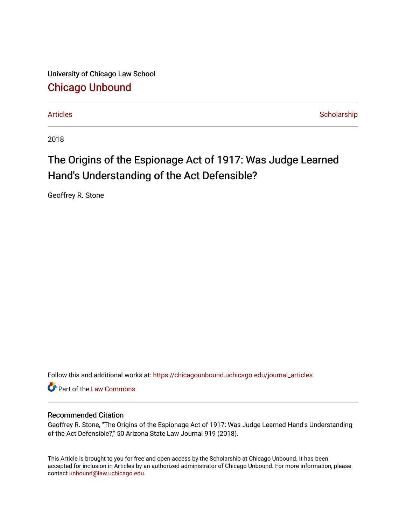University of Chicago Law School [Chicago Unbound](https://chicagounbound.uchicago.edu/)

[Articles](https://chicagounbound.uchicago.edu/journal_articles) [Scholarship](https://chicagounbound.uchicago.edu/faculty_scholarship) and the Community of the Community of the Scholarship Scholarship

2018

## The Origins of the Espionage Act of 1917: Was Judge Learned Hand's Understanding of the Act Defensible?

Geoffrey R. Stone

Follow this and additional works at: [https://chicagounbound.uchicago.edu/journal\\_articles](https://chicagounbound.uchicago.edu/journal_articles?utm_source=chicagounbound.uchicago.edu%2Fjournal_articles%2F9917&utm_medium=PDF&utm_campaign=PDFCoverPages) 

Part of the [Law Commons](http://network.bepress.com/hgg/discipline/578?utm_source=chicagounbound.uchicago.edu%2Fjournal_articles%2F9917&utm_medium=PDF&utm_campaign=PDFCoverPages)

## Recommended Citation

Geoffrey R. Stone, "The Origins of the Espionage Act of 1917: Was Judge Learned Hand's Understanding of the Act Defensible?," 50 Arizona State Law Journal 919 (2018).

This Article is brought to you for free and open access by the Scholarship at Chicago Unbound. It has been accepted for inclusion in Articles by an authorized administrator of Chicago Unbound. For more information, please contact [unbound@law.uchicago.edu](mailto:unbound@law.uchicago.edu).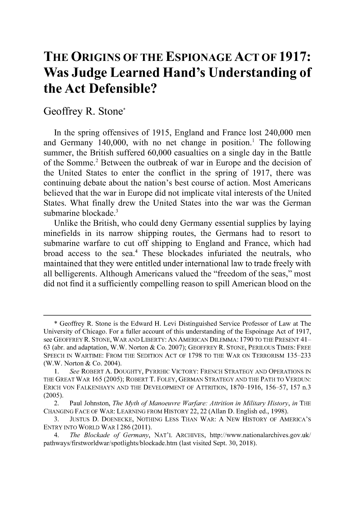## **THE ORIGINS OF THE ESPIONAGE ACT OF 1917: Was Judge Learned Hand's Understanding of the Act Defensible?**

## Geoffrey R. Stone\*

In the spring offensives of **1915,** England and France lost 240,000 men and Germany 140,000, with no net change in position.' The following summer, the British suffered **60,000** casualties on a single day in the Battle of the Somme.2 Between the outbreak of war in Europe and the decision of the United States to enter the conflict in the spring of **1917,** there was continuing debate about the nation's best course of action. Most Americans believed that the war in Europe **did** not implicate vital interests of the United States. What finally drew the United States into the war was the German submarine blockade.<sup>3</sup>

Unlike the British, who could deny Germany essential supplies **by** laying minefields in its narrow shipping routes, the Germans had to resort to submarine warfare to cut off shipping to England and France, which had broad access to the sea.<sup>4</sup> These blockades infuriated the neutrals, who maintained that they were entitled under international law to trade freely with all belligerents. Although Americans valued the "freedom of the seas," most **did** not find it a sufficiently compelling reason to spill American blood on the

**<sup>\*</sup>** Geoffrey R. Stone is the Edward H. Levi Distinguished Service Professor of Law at The University of Chicago. For a fuller account of this understanding of the Espoinage Act of **1917,** see GEOFFREY R. STONE, WAR AND LIBERTY: AN AMERICAN DILEMMA: 1790 TO THE PRESENT 41- **63** (abr. and adaptation, W.W. Norton **&** Co. **2007);** GEOFFREY R. **STONE,** PERILOUS **TIMES:** FREE **SPEECH IN** WARTIME: FROM THE **SEDITION ACT** OF **1798** TO THE WAR **ON** TERRORISM **135-233** (W.W. Norton **&** Co. 2004).

**<sup>1.</sup>** *See* ROBERT **A. DOUGHTY,** PYRRHIC VICTORY: FRENCH **STRATEGY AND OPERATIONS IN** THE GREAT WAR **165 (2005);** ROBERT T. FOLEY, **GERMAN STRATEGY AND** THE PATH TO **VERDUN:** ERICH **VON FALKENHAYN AND** THE **DEVELOPMENT** OF ATTRITION, **1870-1916,** *156-57,* **157** n.3 *(2005).*

<sup>2.</sup> Paul Johnston, *The Myth of Manoeuvre Warfare: Attrition in Military History, in* THE **CHANGING FACE** OF WAR: **LEARNING** FROM HISTORY **22,** 22 (Allan **D.** English **ed., 1998).**

**<sup>3.</sup> JUSTUS D. DOENECKE, NOTHING** LESS **THAN** WAR: **A** NEW HISTORY OF AMERICA'S ENTRY **INTO** WORLD WAR **1286 (2011).**

<sup>4.</sup> *The Blockade of Germany,* **NAT'L** ARCHIVES, http://www.nationalarchives.gov.uk/ pathways/firstworldwar/spotlights/blockade.htm (last visited Sept. **30, 2018).**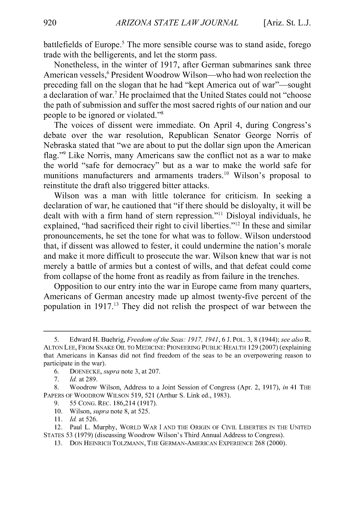battlefields of Europe.' The more sensible course was to stand aside, forego trade with the belligerents, and let the storm pass.

Nonetheless, in the winter of **1917,** after German submarines sank three American vessels,<sup>6</sup> President Woodrow Wilson-who had won reelection the preceding fall on the slogan that he had "kept America out of war"—sought a declaration of war.<sup>7</sup> He proclaimed that the United States could not "choose the path of submission and suffer the most sacred rights of our nation and our people to be ignored or violated."'

The voices of dissent were immediate. On April 4, during Congress's debate over the war resolution, Republican Senator George Norris of Nebraska stated that "we are about to put the dollar sign upon the American flag."<sup>9</sup> Like Norris, many Americans saw the conflict not as a war to make the world "safe for democracy" but as a war to make the world safe for munitions manufacturers and armaments traders.<sup>10</sup> Wilson's proposal to reinstitute the draft also triggered bitter attacks.

Wilson was a man with little tolerance for criticism. In seeking a declaration of war, he cautioned that **"if** there should be disloyalty, it will be dealt with with a firm hand of stern repression."" Disloyal individuals, he explained, "had sacrificed their right to civil liberties." $^{12}$  In these and similar pronouncements, he set the tone for what was to follow. Wilson understood that, **if** dissent was allowed to fester, it could undermine the nation's morale and make it more difficult to prosecute the war. Wilson knew that war is not merely a battle of armies but a contest of wills, and that defeat could come from collapse of the home front as readily as from failure in the trenches.

Opposition to our entry into the war in Europe came from many quarters, Americans of German ancestry made up almost twenty-five percent of the population in **1917.1'** They **did** not relish the prospect of war between the

- **9. 55CONG.REC. 186,214 (1917).**
- **10.** Wilson, *supra* note **8,** at **525.**
- **11.** *Id* at **526.**

*<sup>5.</sup>* Edward H. Buehrig, *Freedom of the Seas: 1917, 1941, 6* **J. POL. 3, 8** (1944); *see also R.* **ALTON LEE, FROM SNAKE OIL TO MEDICINE: PIONEERING PUBLIC HEALTH 129 (2007)** (explaining that Americans in Kansas did not find freedom of the seas to **be** an overpowering reason to participate in the war).

**<sup>6.</sup> DOENECKE,** *supra* note **3,** at **207.**

**<sup>7.</sup>** *Id.* at **289.**

**<sup>8.</sup>** Woodrow Wilson, Address to a Joint Session of Congress (Apr. **2, 1917),** *in* 41 **THE PAPERS OF WOODROW WILSON** *519,* **521** (Arthur **S.** Link **ed., 1983).**

<sup>12.</sup> Paul L. Murphy, **WORLD WAR I AND THE ORIGIN OF CIVIL LIBERTIES IN THE UNITED STATES 53 (1979)** (discussing Woodrow Wilson's Third Annual Address to Congress).

**<sup>13.</sup> DON HEINRICH TOLZMANN, THE GERMAN-AMERICAN EXPERIENCE** 268 (2000).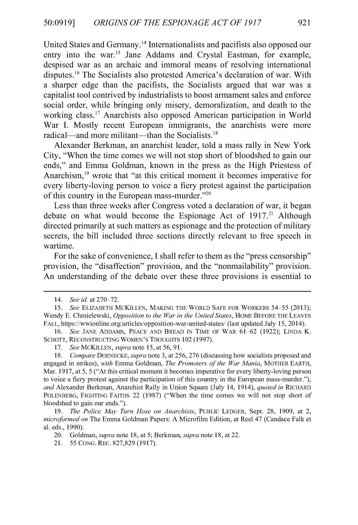United States and Germany.<sup>14</sup> Internationalists and pacifists also opposed our entry into the war.<sup>15</sup> Jane Addams and Crystal Eastman, for example, despised war as an archaic and immoral means of resolving international disputes.<sup>16</sup> The Socialists also protested America's declaration of war. With a sharper edge than the pacifists, the Socialists argued that war was a capitalist tool contrived **by** industrialists to boost armament sales and enforce social order, while bringing only misery, demoralization, and death to the working class." Anarchists also opposed American participation in World War I. Mostly recent European immigrants, the anarchists were more radical—and more militant—than the Socialists. $18$ 

Alexander Berkman, an anarchist leader, told a mass rally in New York City, "When the time comes we will not stop short of bloodshed to gain our ends," and Emma Goldman, known in the press as the **High** Priestess of Anarchism,<sup>19</sup> wrote that "at this critical moment it becomes imperative for every liberty-loving person to voice a fiery protest against the participation of this country in the European mass-murder."<sup>20</sup>

Less than three weeks after Congress voted a declaration of war, it began debate on what would become the Espionage Act of 1917.<sup>21</sup> Although directed primarily at such matters as espionage and the protection of military secrets, the **bill** included three sections directly relevant to free speech in wartime.

For the sake of convenience, **I** shall refer to them as the "press censorship" provision, the "disaffection" provision, and the "nonmailability" provision. An understanding of the debate over these three provisions is essential to

*<sup>14.</sup> See id. at* **270-72.**

*<sup>15.</sup> See* **ELIZABETH MCKILLEN, MAKING THE WORLD SAFE FOR WORKERS** *54-55* **(2013);** Wendy **E.** Chmielewski, *Opposition to the War in the United States,* **HOME BEFORE THE LEAVES FALL,** https://wwionline.org/articles/opposition-war-united-states/ (last updated July **15,** 2014).

*<sup>16.</sup> See* **JANE ADDAMS, PEACE AND BREAD IN TIME OF WAR 61-62 (1922); LINDA** K. **SCHOTT, RECONSTRUCTING WOMEN'S THOUGHTS** 102 **(1997).**

*<sup>17.</sup> See MCKILLEN, supra note* **15,** at *56,* **91.**

*<sup>18.</sup> Compare DOENECKE, supra* note **3,** at *256,* **276** (discussing how socialists proposed and engaged in strikes), *with* Emma Goldman, *The Promoters of the War Mania,* **MOTHER EARTH,** Mar. **1917,** at *5, 5* ("At this critical moment it becomes imperative for every liberty-loving person to voice a fiery protest against the participation of this country in the European mass-murder."), *and* Alexander Berkman, Anarchist Rally in Union Square (July 14, 1914), *quoted in* **RICHARD POLENBERG, FIGHTING FAITHS** 22 **(1987)** ("When the time comes we will not stop short of bloodshed to gain our ends.").

*<sup>19.</sup> The Police May Turn Hose on Anarchists,* **PUBLIC LEDGER,** Sept. **28, 1909,** at **2,** *microformed on* The Emma Goldman Papers: **A** Microfilm Edition, at Reel 47 (Candace Falk et al. eds., **1990).**

<sup>20.</sup> Goldman, *supra* note **18,** at *5; Berkman, supra* note **18,** at 22.

<sup>21.</sup> *55* **CONG. REC. 827,829 (1917).**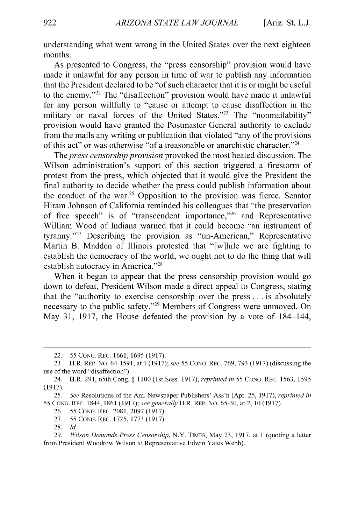understanding what went wrong in the United States over the next eighteen months.

As presented to Congress, the "press censorship" provision would have made it unlawful for any person in time of war to publish any information that the President declared to be "of such character that it is or might be useful to the enemy. "22 The "disaffection" provision would have made it unlawful for any person willfully to "cause or attempt to cause disaffection in the military or naval forces of the United States."<sup>23</sup> The "nonmailability" provision would have granted the Postmaster General authority to exclude from the mails any writing or publication that violated "any of the provisions of this act" or was otherwise "of a treasonable or anarchistic character."<sup>24</sup>

*The press censorship provision* provoked the most heated discussion. The Wilson administration's support of this section triggered a firestorm of protest from the press, which objected that it would give the President the final authority to decide whether the press could publish information about the conduct of the war.<sup>25</sup> Opposition to the provision was fierce. Senator Hiram Johnson of California reminded his colleagues that "the preservation of free speech" is of "transcendent importance,"<sup>26</sup> and Representative William Wood of Indiana warned that it could become "an instrument of tyranny."<sup>27</sup> Describing the provision as "un-American," Representative Martin B. Madden of Illinois protested that "[w]hile we are fighting to establish the democracy of the world, we ought not to do the thing that will establish autocracy in America."<sup>28</sup>

When it began to appear that the press censorship provision would go down to defeat, President Wilson made a direct appeal to Congress, stating that the "authority to exercise censorship over the press **.** . **.** is absolutely necessary to the public safety."<sup>29</sup> Members of Congress were unmoved. On May **31, 1917,** the House defeated the provision **by** a vote of 184-144,

- **26. 55 CONG.** REc. **2081, 2097 (1917).**
- **27. 55 CONG.** REc. **1725, 1773 (1917).**
- **28.** *Id*

<sup>22.</sup> *55* **CONG.** REc. **1661, 1695 (1917).**

**<sup>23.</sup>** H.R. REP. No. 64-1591, at **1** *(1917);* see *55* **CONG.** REc. **769, 793 (1917)** (discussing the use of the word "disaffection").

<sup>24.</sup> H.R. **291,** 65th Cong. **§ 1100** (1st Sess. **1917),** *reprinted in 55* **CONG.** REc. **1563, 1595 (1917).**

*<sup>25.</sup> See* Resolutions of the Am. Newspaper Publishers' Ass'n (Apr. **25, 1917),** *reprinted in* **55 CONG.** REc. 1844, 1861 **(1917);** *see generally* H.R. *REP.* **No. 65-30,** at **2, 10 (1917).**

*<sup>29.</sup> Wilson Demands Press Censorship,* N.Y. TIMES, May **23, 1917,** at 1 (quoting a letter from President Woodrow Wilson to Representative Edwin Yates **Webb).**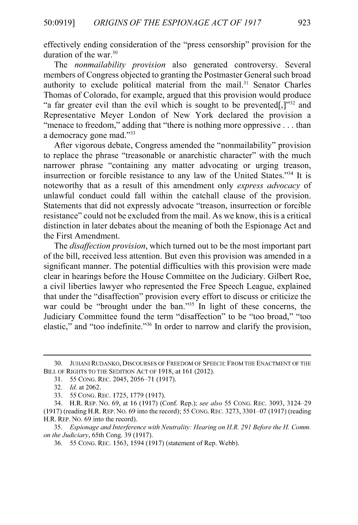effectively ending consideration of the "press censorship" provision for the duration of the war. $30$ 

*The nonmailability provision* also generated controversy. Several members of Congress objected to granting the Postmaster General such broad authority to exclude political material from the mail.<sup>31</sup> Senator Charles Thomas of Colorado, for example, argued that this provision would produce "a far greater evil than the evil which is sought to be prevented[,]" $^{32}$  and Representative Meyer London of New York declared the provision a "menace to freedom," adding that "there is nothing more oppressive **...** than a democracy gone mad."<sup>33</sup>

After vigorous debate, Congress amended the "nonmailability" provision to replace the phrase "treasonable or anarchistic character" with the much narrower phrase "containing any matter advocating or urging treason, insurrection or forcible resistance to any law of the United States."<sup>34</sup> It is noteworthy that as a result of this amendment only *express advocacy of* unlawful conduct could fall within the catchall clause of the provision. Statements that **did** not expressly advocate "treason, insurrection or forcible resistance" could not be excluded from the mail. As we know, this is a critical distinction in later debates about the meaning of both the Espionage Act and the First Amendment.

*The disaffection provision,* which turned out to be the most important part of the **bill,** received less attention. But even this provision was amended in a significant manner. The potential difficulties with this provision were made clear in hearings before the House Committee on the Judiciary. Gilbert Roe, a civil liberties lawyer who represented the Free Speech League, explained that under the "disaffection" provision every effort to discuss or criticize the war could be "brought under the ban."<sup>35</sup> In light of these concerns, the Judiciary Committee found the term "disaffection" to be "too broad," "too elastic," and "too indefinite."<sup>36</sup> In order to narrow and clarify the provision,

**<sup>30.</sup> JUHANI RUDANKO, DISCOURSES OF FREEDOM OF SPEECH: FROM THE ENACTMENT OF THE BILL OF RIGHTS TO THE SEDITION ACT OF 1918,** at **161** (2012).

**<sup>31.</sup>** *55* **CONG. REC.** 2045, **2056-71 (1917).**

**<sup>32.</sup>** *Id. at 2062.*

**<sup>33.</sup>** *55* **CONG. REC. 1725, 1779 (1917).**

<sup>34.</sup> H.R. REP. No. **69,** at **16 (1917)** (Conf Rep.); *see also 55* **CONG. REC. 3093,** 3124-29 **(1917)** (reading H.R. REP. No. **69** into the record); *55* **CONG.** REC. **3273, 3301-07 (1917)** (reading H.R. REP. No. **69** into the record).

*<sup>35.</sup> Espionage and Interference with Neutrality: Hearing on H.R. 291 Before the H Comm. on the Judiciary,* 65th Cong. **39 (1917).**

**<sup>36.</sup>** *55* **CONG.** REC. *1563, 1594* **(1917)** (statement of Rep. **Webb).**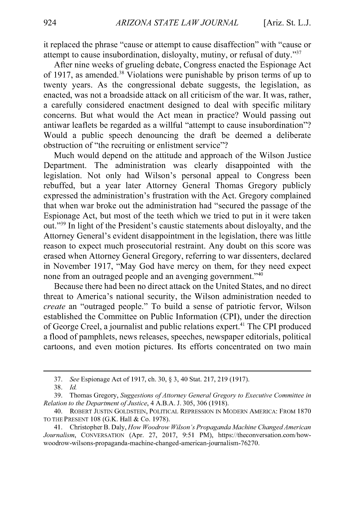it replaced the phrase "cause or attempt to cause disaffection" with "cause or attempt to cause insubordination, disloyalty, mutiny, or refusal of duty."<sup>37</sup>

After nine weeks of grueling debate, Congress enacted the Espionage Act of **1917,** as amended.3 8 Violations were punishable **by** prison terms of up to twenty years. As the congressional debate suggests, the legislation, as enacted, was not a broadside attack on all criticism of the war. It was, rather, a carefully considered enactment designed to deal with specific military concerns. But what would the Act mean in practice? Would passing out antiwar leaflets be regarded as a willful "attempt to cause insubordination"? Would a public speech denouncing the draft be deemed a deliberate obstruction of "the recruiting or enlistment service"?

Much would depend on the attitude and approach of the Wilson Justice Department. The administration was clearly disappointed with the legislation. Not only had Wilson's personal appeal to Congress been rebuffed, but a year later Attorney General Thomas Gregory publicly expressed the administration's frustration with the Act. Gregory complained that when war broke out the administration had "secured the passage of the Espionage Act, but most of the teeth which we tried to put in it were taken out."<sup>39</sup> In light of the President's caustic statements about disloyalty, and the Attorney General's evident disappointment in the legislation, there was little reason to expect much prosecutorial restraint. Any doubt on this score was erased when Attorney General Gregory, referring to war dissenters, declared in November **1917,** "May God have mercy on them, for they need expect none from an outraged people and an avenging government. "40

Because there had been no direct attack on the United States, and no direct threat to America's national security, the Wilson administration needed to create an "outraged people." To build a sense of patriotic fervor, Wilson established the Committee on Public Information **(CPI),** under the direction of George Creel, a journalist and public relations expert.<sup>41</sup> The CPI produced a flood of pamphlets, news releases, speeches, newspaper editorials, political cartoons, and even motion pictures. Its efforts concentrated on two main

**<sup>37.</sup>** *See* Espionage Act of **1917,** ch. **30, § 3,** 40 Stat. **217, 219 (1917).**

**<sup>38.</sup>** *Id*

**<sup>39.</sup>** Thomas Gregory, *Suggestions ofAttorney General Gregory to Executive Committee in Relation to the Department ofJustice,* 4 **A.B.A. J.** *305,* **306 (1918).**

<sup>40.</sup> **ROBERT JUSTIN GOLDSTEIN, POLITICAL REPRESSION IN MODERN AMERICA: FROM 1870 TO THE PRESENT 108** (G.K. Hall **&** Co. **1978).**

<sup>41.</sup> Christopher B. Daly, *How Woodrow Wilson's Propaganda Machine Changed American Journalism,* **CONVERSATION** (Apr. **27, 2017,** *9:51* PM), https://theconversation.com/howwoodrow-wilsons-propaganda-machine-changed-american-journalism-76270.